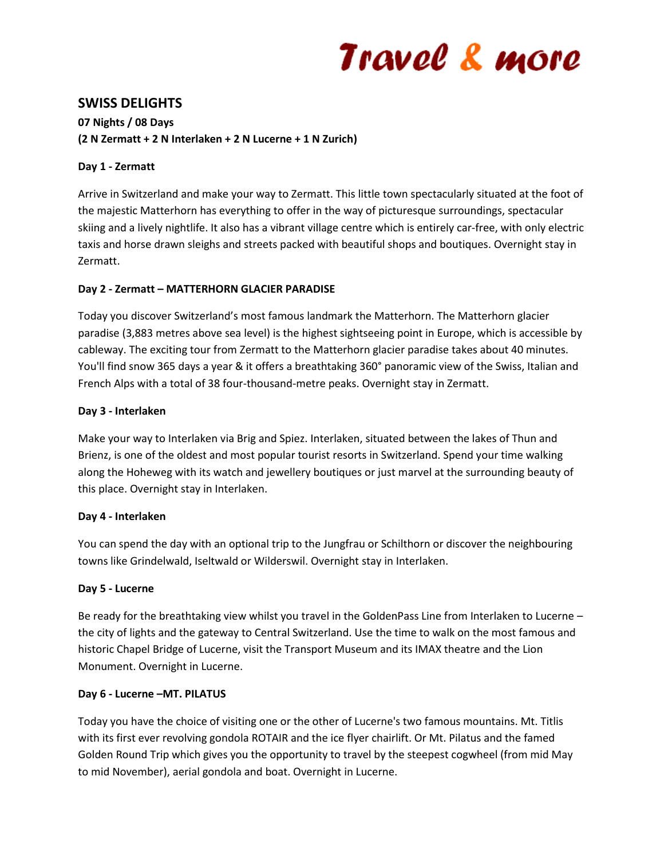# Travel & more

# **SWISS DELIGHTS**

# **07 Nights / 08 Days (2 N Zermatt + 2 N Interlaken + 2 N Lucerne + 1 N Zurich)**

## **Day 1 - Zermatt**

Arrive in Switzerland and make your way to Zermatt. This little town spectacularly situated at the foot of the majestic Matterhorn has everything to offer in the way of picturesque surroundings, spectacular skiing and a lively nightlife. It also has a vibrant village centre which is entirely car-free, with only electric taxis and horse drawn sleighs and streets packed with beautiful shops and boutiques. Overnight stay in Zermatt.

## **Day 2 - Zermatt – MATTERHORN GLACIER PARADISE**

Today you discover Switzerland's most famous landmark the Matterhorn. The Matterhorn glacier paradise (3,883 metres above sea level) is the highest sightseeing point in Europe, which is accessible by cableway. The exciting tour from Zermatt to the Matterhorn glacier paradise takes about 40 minutes. You'll find snow 365 days a year & it offers a breathtaking 360° panoramic view of the Swiss, Italian and French Alps with a total of 38 four-thousand-metre peaks. Overnight stay in Zermatt.

## **Day 3 - Interlaken**

Make your way to Interlaken via Brig and Spiez. Interlaken, situated between the lakes of Thun and Brienz, is one of the oldest and most popular tourist resorts in Switzerland. Spend your time walking along the Hoheweg with its watch and jewellery boutiques or just marvel at the surrounding beauty of this place. Overnight stay in Interlaken.

#### **Day 4 - Interlaken**

You can spend the day with an optional trip to the Jungfrau or Schilthorn or discover the neighbouring towns like Grindelwald, Iseltwald or Wilderswil. Overnight stay in Interlaken.

# **Day 5 - Lucerne**

Be ready for the breathtaking view whilst you travel in the GoldenPass Line from Interlaken to Lucerne – the city of lights and the gateway to Central Switzerland. Use the time to walk on the most famous and historic Chapel Bridge of Lucerne, visit the Transport Museum and its IMAX theatre and the Lion Monument. Overnight in Lucerne.

#### **Day 6 - Lucerne –MT. PILATUS**

Today you have the choice of visiting one or the other of Lucerne's two famous mountains. Mt. Titlis with its first ever revolving gondola ROTAIR and the ice flyer chairlift. Or Mt. Pilatus and the famed Golden Round Trip which gives you the opportunity to travel by the steepest cogwheel (from mid May to mid November), aerial gondola and boat. Overnight in Lucerne.